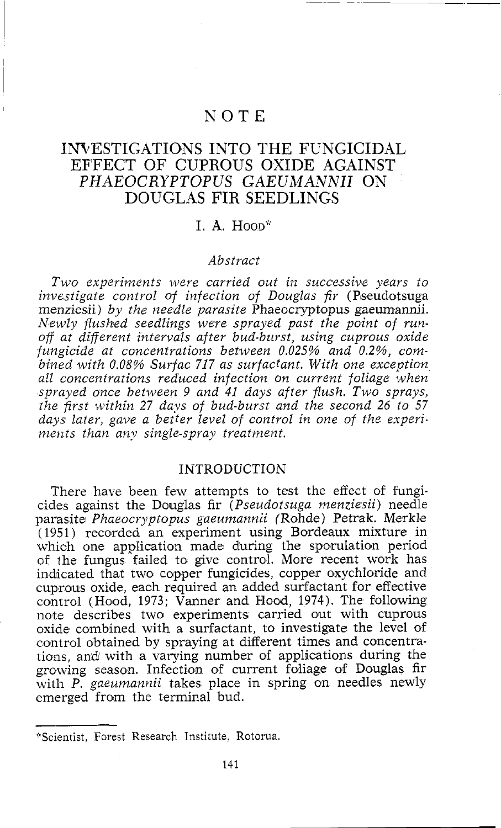# NOTE

# INVESTIGATIONS INTO THE FUNGICIDAL EFFECT OF CUPROUS OXIDE AGAINST *PHAEOCRYPTOPUS* GAEUMAWNII ON DOUGLAS FIR SEEDLINGS

# $I. A. Hoon*$

### *Abstract*

*Two experiments were carried out in successive years to investigate control of infection of Douglas fir* (Pseudotsuga menziesii) *by the need'le parasite* Phaeocryptopus gaeumannii. *Newly flushed seedlings were sprayed past the point of runoff at different intervals after bud-burst, using cuprous oxide fungicide at concentrations between 0.025% and 0.2%, combined with 0.08% Surfac 717 as surfactant. With one exception all concentrations reduced infection on current foliage when sprayed once between 9 and 41 days after flush. Two sprays, the first within 27 days of bud-burst and the second 26 to 57 days later, gave a better level of control in one of the experi.*  ments than any single-spray treatment.

## INTRODUCTION

There have been few attempts to test the effect of fungicides against the Douglas fir *(Pseudotsuga menziesii)* needle parasite *Phaeocryptopus gaeumannii* (Rohde) Petrak. Merkle (1951) recorded an experiment using Bordeaux mixture in which one application made during the spomlation period of the fungus failed to give control. More recent work has indicated that two copper fungicides, copper oxychloride and cuproius oxide, each required an added surfactant for effective control (Hood, 1973; Vanner and Flood, 1974). The following note describes two experiments carried out with cuprous oxide combined with a surfactant, to investigate the level of control obtained by spraying at different times and concentrations, and with a varying number of applications during the growing season. Infection of current foliage of Douglas fir with *P. gaeumannii* takes place in spring on needles newly emerged from the terminal bud.

<sup>&</sup>quot;Scientist, Forest Research Institute, Rotorua.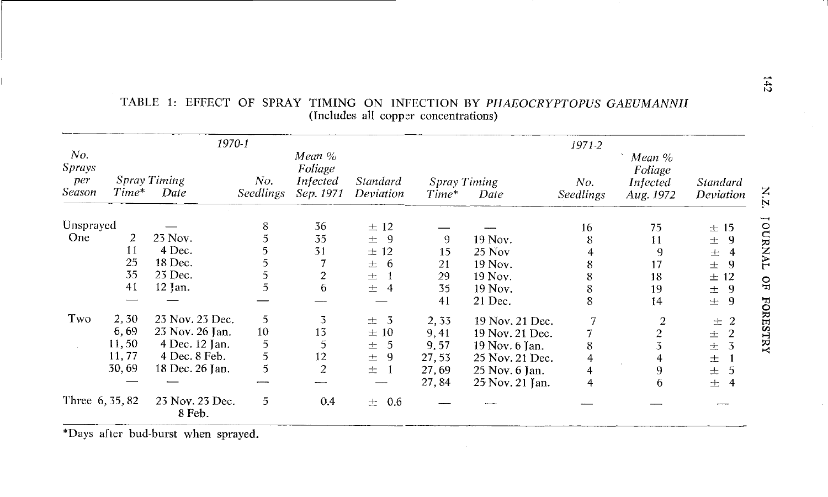|                                | 1970-1                           |                           |                  |                                            |                       | $1971 - 2$                      |                 |                  |                                            |                       |
|--------------------------------|----------------------------------|---------------------------|------------------|--------------------------------------------|-----------------------|---------------------------------|-----------------|------------------|--------------------------------------------|-----------------------|
| No.<br>Sprays<br>per<br>Season | Spray Timing<br>$Time^*$<br>Date |                           | No.<br>Seedlings | Mean %<br>Foliage<br>Infected<br>Sep. 1971 | Standard<br>Deviation | Spray Timing<br>$Time*$<br>Date |                 | No.<br>Seedlings | Mean %<br>Foliage<br>Infected<br>Aug. 1972 | Standard<br>Deviation |
| Unsprayed                      |                                  |                           | 8                | 36                                         | ± 12                  |                                 |                 | 16               | 75                                         | ±15                   |
| One                            | 2                                | 23 Nov.                   |                  | 35                                         | -9<br>士。              | 9                               | 19 Nov.         | 8                | 11                                         | -9<br>士               |
|                                | 11                               | 4 Dec.                    |                  | 31                                         | ± 12                  | 15                              | $25$ Nov        |                  |                                            | 4<br>士                |
|                                | 25                               | 18 Dec.                   |                  |                                            | 6<br>士                | 21                              | 19 Nov.         |                  | 17                                         | 9<br>士                |
|                                | 35                               | 23 Dec.                   |                  | $\overline{2}$                             | 士                     | 29                              | 19 Nov.         | 8                | 18                                         | ± 12                  |
|                                | 41                               | $12$ Jan.                 |                  | 6                                          | 士<br>4                | 35                              | 19 Nov.         | 8                | 19                                         | 9<br>士                |
|                                |                                  |                           |                  |                                            |                       | 41                              | 21 Dec.         | 8                | 14                                         | 9<br>土                |
| Two                            | 2,30                             | 23 Nov. 23 Dec.           | 5                | 3                                          | $\pm$ 3               | 2,33                            | 19 Nov. 21 Dec. |                  |                                            | -2<br>士               |
|                                | 6,69                             | 23 Nov. 26 Jan.           | 10               | 13                                         | ±10                   | 9,41                            | 19 Nov. 21 Dec. |                  | 2                                          | 2<br>土                |
|                                | 11,50                            | 4 Dec. 12 Jan.            | 5                | 5                                          | -5<br>士               | 9.57                            | 19 Nov. 6 Jan.  | 8                |                                            | 3<br>士                |
|                                | 11,77                            | 4 Dec. 8 Feb.             | 5                | 12                                         | 9<br>士                | 27.53                           | 25 Nov. 21 Dec. | 4                | 4                                          | 士                     |
|                                | 30,69                            | 18 Dec. 26 Jan.           | 5                | $\overline{2}$                             | 士                     | 27,69                           | 25 Nov. 6 Jan.  |                  | 9                                          | $\pm$                 |
|                                |                                  |                           |                  |                                            |                       | 27,84                           | 25 Nov. 21 Jan. | 4                | 6                                          | 士<br>4                |
| Three 6, 35, 82                |                                  | 23 Nov. 23 Dec.<br>8 Feb. | 5                | 0.4                                        | 0.6<br>士              |                                 |                 |                  |                                            |                       |

## TABLE 1: EFFECT OF SPRAY TIMING ON INFECTION BY *PHAEOCRYPTOPUS* GAEUMANNZI (Includes all copper concentrations)

\*Days after bud-burst when sprayed.

N zİ ŋ FORESTRY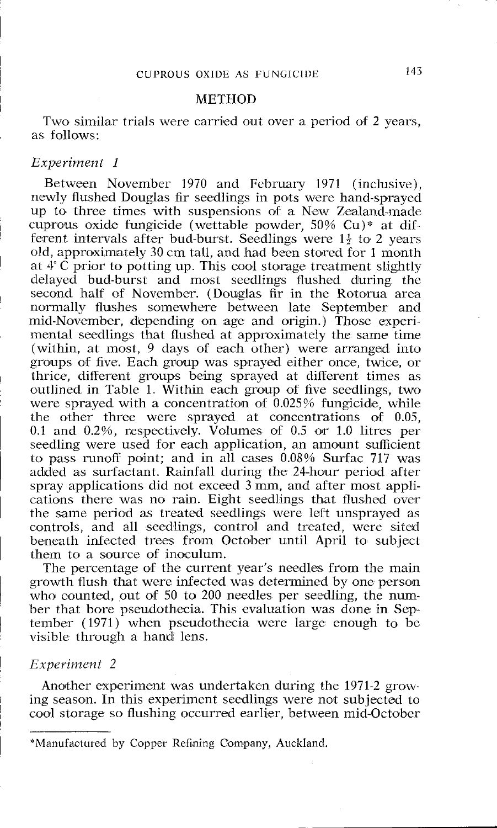#### METHOD

Two similar trials were carried out over a period of 2 years, as follows:

#### *Experiment 1*

Between November 1970 and February 1971 (inclusive), newly flushed Douglas fir scedlings in pots were hand-sprayed up to three times with suspensions of a New Zealand-made cuprous oxide fungicide (wettable powder, 50% Cu)\* at dilferent intervals after bud-burst. Seedlings were  $1\frac{1}{2}$  to 2 years old, approximately 30 cm tall, and bad been stored for 1 month at  $4^{\circ}$ C prior to potting up. This cool storage treatment slightly delayed bud-burst and most seedlings flushed diuring thc second half of November. (Douglas fir in the Rotorua area normally flushes somewhere between late September and mid-November, depending on age and origin.) Those experimental seedlings that flushed at approximately the same time (within, at most,  $9$  days of each other) were arranged into groups of five. Each group was sprayed either once, twice, or thrice, different groups being sprayed at different times as outlined in Table 1. Within each group of five seedlings, two were sprayed with a concentration of 0.025% fungicide, while the other three were sprayed at concentrations of 0.05, 0.1 and 0.2%, respectively. Volumes of 0.5 or 1.0 litres per seedling were used for each application, an amount sufficient to pass runoff point; and in all cases 0.08% Surfac 717 was added as surfactant. Rainfall during the 24-hour period after spray applications did not exceed 3 mm, and after most applications there was no rain. Eight seedlings that flushed over the same period as treated seedlings were left unsprayed as controls, and all seedlings, control and treated, were siteid bencath infected trees from October until April to subject them to a source of inoculum.

The percentage of the current year's needles from the main growth flush that were infected was determined by one person who counted, out of 50 to 200 needles per seedling, the number that bore pseudothecia. This evaluation was done in September (1971) when pseudothecia were large enough to be visible through a hand lens.

#### *Experiment* 2

Another experiment was undertaken during the 1971-2 growing season. In this experimcnt seedlings were not subjected to cool storage so flushing occurred earlier, between mid-October

<sup>\*</sup>Manufactured by Copper Refining Company, Auckland.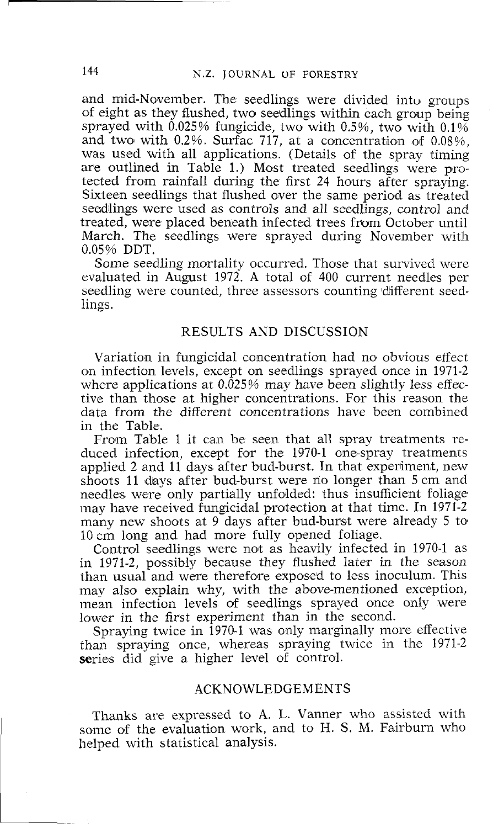and mid-November. The seedlings were divided intu groups of eight as they flushed, two seedlings within each group being sprayed with  $0.025\%$  fungicide, two with  $0.5\%$ , two with  $0.1\%$ and two with  $0.2\%$ . Surfac 717, at a concentration of  $0.08\%$ . was used with all applications. (Details of the spray timing are outlined in Table 1.) Most treated seedlings were protected from rainfall during the first 24 hours after spraying. Sixteen seedlings that flushed over the same period as treated seedlings were used as controls and all seedlings, control and treated, were placed beneath infected trees from October until March. The seedlings were sprayed during November with 0.05% DDT.

Some seedling mortality occurred. Those that survived were evaluated in August 1972. A total of 400 current needles per seedling were counted, three assessors counting different seedlings.

## RESULTS AND DISCUSSION

Variation in fungicidal concentration had no obvious effect on infection levels, except on seedlings sprayed once in 1971-2 where applications at 0.025% may have been slightly less effective than those at higher concentrations. For this reason the data from the different concentrations have been combined in the Table.

From Table I it can be seen that all spray treatments reduced infection, except for the 1970-1 one-spray treatments applied 2 and 11 days after bud-burst. In that experiment, new shoots 11 days after bud-burst were no longer than 5 cm and needles were only partially unfolded: thus insufficient foliage may have received fungicidal protection at that time. In 1971-2 many new shoots at 9 days after bud-burst were already 5 to 10 cm long and had more fully opened foliage.

Control seedlings were not as heavily infected in 1970-1 as in 1971-2, possibly because they flushed later in the season than usual and were therefore exposed to less inoculum. This may also explain why, with the above-mentioned exception, mean infection levels of seedlings sprayed once only were lower in the first experiment than in the second.

Spraying twice in 1970-1 was only marginally more effective than spraying once, whereas spraying twice in the 1971-2 series did give a higher level of control.

## ACKNOWLEDGEMENTS

Thanks are expressed to **A.** L. Vanner who assisted with some of the evaluation work, and to H. S. M. Fairburn who helped with statistical analysis.